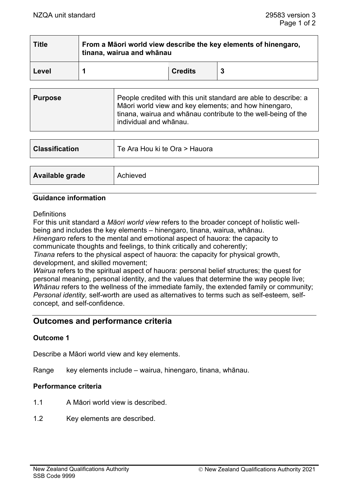| <b>Title</b> | From a Māori world view describe the key elements of hinengaro,<br>tinana, wairua and whānau |                |    |  |  |
|--------------|----------------------------------------------------------------------------------------------|----------------|----|--|--|
| Level        |                                                                                              | <b>Credits</b> | -3 |  |  |

| <b>Purpose</b> | People credited with this unit standard are able to describe: a<br>Māori world view and key elements; and how hinengaro,<br>tinana, wairua and whānau contribute to the well-being of the<br>individual and whānau. |
|----------------|---------------------------------------------------------------------------------------------------------------------------------------------------------------------------------------------------------------------|
|----------------|---------------------------------------------------------------------------------------------------------------------------------------------------------------------------------------------------------------------|

| <b>Classification</b> | Te Ara Hou ki te Ora > Hauora |
|-----------------------|-------------------------------|
|                       |                               |
| Available grade       | Achieved                      |

### **Guidance information**

**Definitions** 

For this unit standard a *Māori world view* refers to the broader concept of holistic wellbeing and includes the key elements – hinengaro, tinana, wairua, whānau.

*Hinengaro* refers to the mental and emotional aspect of hauora: the capacity to communicate thoughts and feelings, to think critically and coherently;

*Tinana* refers to the physical aspect of hauora: the capacity for physical growth, development, and skilled movement;

*Wairua* refers to the spiritual aspect of hauora: personal belief structures; the quest for personal meaning, personal identity, and the values that determine the way people live; *Whānau* refers to the wellness of the immediate family, the extended family or community; *Personal identity,* self-worth are used as alternatives to terms such as self-esteem*,* selfconcept*,* and self-confidence.

# **Outcomes and performance criteria**

### **Outcome 1**

Describe a Māori world view and key elements.

Range key elements include – wairua, hinengaro, tinana, whānau.

### **Performance criteria**

- 1.1 A Māori world view is described.
- 1.2 Key elements are described.